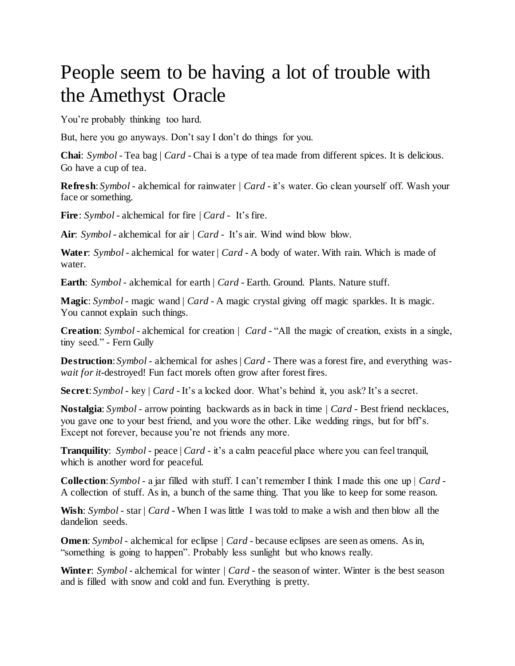## People seem to be having a lot of trouble with the Amethyst Oracle

You're probably thinking too hard.

But, here you go anyways. Don't say I don't do things for you.

**Chai**: *Symbol* - Tea bag | *Card* - Chai is a type of tea made from different spices. It is delicious. Go have a cup of tea.

**Refresh:** *Symbol* - alchemical for rainwater | *Card* - it's water. Go clean yourself off. Wash your face or something.

**Fire**: *Symbol* - alchemical for fire | *Card* - It's fire.

**Air**: *Symbol* - alchemical for air | *Card* - It's air. Wind wind blow blow.

**Water**: *Symbol* - alchemical for water | *Card* - A body of water. With rain. Which is made of water.

**Earth**: *Symbol* - alchemical for earth | *Card* - Earth. Ground. Plants. Nature stuff.

**Magic**: *Symbol* - magic wand | *Card* - A magic crystal giving off magic sparkles. It is magic. You cannot explain such things.

**Creation**: *Symbol* - alchemical for creation | *Card* - "All the magic of creation, exists in a single, tiny seed." - Fern Gully

**Destruction**: *Symbol* - alchemical for ashes | *Card* - There was a forest fire, and everything was*wait for it*-destroyed! Fun fact morels often grow after forest fires.

**Secret**: *Symbol* - key | *Card* - It's a locked door. What's behind it, you ask? It's a secret.

**Nostalgia**: *Symbol* - arrow pointing backwards as in back in time | *Card* - Best friend necklaces, you gave one to your best friend, and you wore the other. Like wedding rings, but for bff's. Except not forever, because you're not friends any more.

**Tranquility**: *Symbol* - peace | *Card* - it's a calm peaceful place where you can feel tranquil, which is another word for peaceful.

**Collection**: *Symbol* - a jar filled with stuff. I can't remember I think I made this one up | *Card* - A collection of stuff. As in, a bunch of the same thing. That you like to keep for some reason.

**Wish**: *Symbol* - star | *Card* - When I was little I was told to make a wish and then blow all the dandelion seeds.

**Omen:** *Symbol* - alchemical for eclipse | *Card* - because eclipses are seen as omens. As in, "something is going to happen". Probably less sunlight but who knows really.

**Winter:** *Symbol* - alchemical for winter | *Card* - the season of winter. Winter is the best season and is filled with snow and cold and fun. Everything is pretty.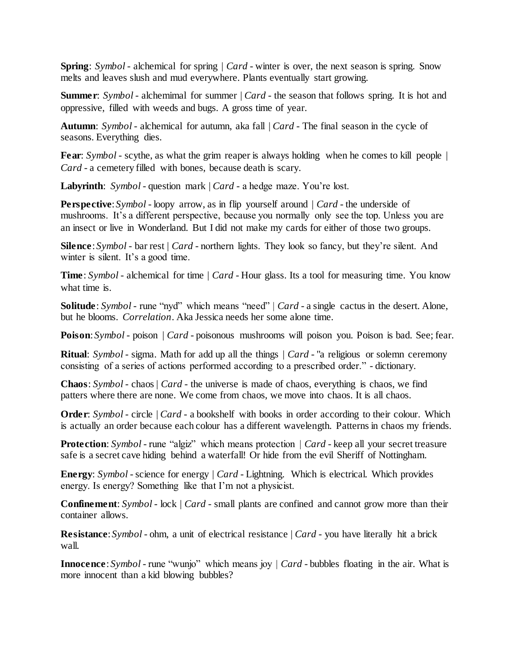**Spring**: *Symbol* - alchemical for spring | *Card* - winter is over, the next season is spring. Snow melts and leaves slush and mud everywhere. Plants eventually start growing.

**Summer:** *Symbol* - alchemimal for summer | *Card* - the season that follows spring. It is hot and oppressive, filled with weeds and bugs. A gross time of year.

**Autumn**: *Symbol* - alchemical for autumn, aka fall | *Card* - The final season in the cycle of seasons. Everything dies.

**Fear:** *Symbol* - scythe, as what the grim reaper is always holding when he comes to kill people | *Card* - a cemetery filled with bones, because death is scary.

**Labyrinth**: *Symbol* - question mark | *Card* - a hedge maze. You're lost.

**Perspective**: *Symbol* - loopy arrow, as in flip yourself around  $|$  *Card* - the underside of mushrooms. It's a different perspective, because you normally only see the top. Unless you are an insect or live in Wonderland. But I did not make my cards for either of those two groups.

**Silence**: *Symbol* - bar rest | *Card* - northern lights. They look so fancy, but they're silent. And winter is silent. It's a good time.

**Time**: *Symbol* - alchemical for time  $|$  *Card* - Hour glass. Its a tool for measuring time. You know what time is.

**Solitude**: *Symbol* - rune "nyd" which means "need" | *Card* - a single cactus in the desert. Alone, but he blooms. *Correlation*. Aka Jessica needs her some alone time.

**Poison**: *Symbol* - poison | *Card* - poisonous mushrooms will poison you. Poison is bad. See; fear.

**Ritual**: *Symbol* - sigma. Math for add up all the things | *Card* - "a religious or solemn ceremony consisting of a series of actions performed according to a prescribed order." - dictionary.

**Chaos**: *Symbol* - chaos | *Card* - the universe is made of chaos, everything is chaos, we find patters where there are none. We come from chaos, we move into chaos. It is all chaos.

**Order:** *Symbol* - circle  $|$  *Card* - a bookshelf with books in order according to their colour. Which is actually an order because each colour has a different wavelength. Patterns in chaos my friends.

**Protection**: *Symbol* - rune "algiz" which means protection | *Card* - keep all your secret treasure safe is a secret cave hiding behind a waterfall! Or hide from the evil Sheriff of Nottingham.

**Energy**: *Symbol* - science for energy | *Card* - Lightning. Which is electrical. Which provides energy. Is energy? Something like that I'm not a physicist.

**Confinement**: *Symbol* - lock | *Card* - small plants are confined and cannot grow more than their container allows.

**Resistance**: *Symbol* - ohm, a unit of electrical resistance | *Card* - you have literally hit a brick wall.

**Innocence**: *Symbol* - rune "wunjo" which means joy | *Card* - bubbles floating in the air. What is more innocent than a kid blowing bubbles?